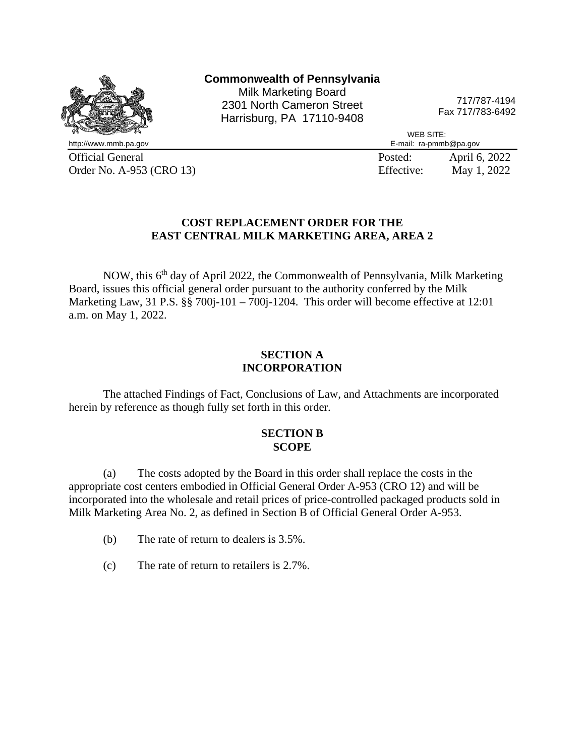

Official General Posted: April 6, 2022<br>
Order No. A-953 (CRO 13) Effective: May 1, 2022 Order No. A-953 (CRO 13) Effective:

## **COST REPLACEMENT ORDER FOR THE EAST CENTRAL MILK MARKETING AREA, AREA 2**

NOW, this 6<sup>th</sup> day of April 2022, the Commonwealth of Pennsylvania, Milk Marketing Board, issues this official general order pursuant to the authority conferred by the Milk Marketing Law, 31 P.S. §§ 700j-101 – 700j-1204. This order will become effective at 12:01 a.m. on May 1, 2022.

### **SECTION A INCORPORATION**

The attached Findings of Fact, Conclusions of Law, and Attachments are incorporated herein by reference as though fully set forth in this order.

#### **SECTION B SCOPE**

(a) The costs adopted by the Board in this order shall replace the costs in the appropriate cost centers embodied in Official General Order A-953 (CRO 12) and will be incorporated into the wholesale and retail prices of price-controlled packaged products sold in Milk Marketing Area No. 2, as defined in Section B of Official General Order A-953.

- (b) The rate of return to dealers is 3.5%.
- (c) The rate of return to retailers is 2.7%.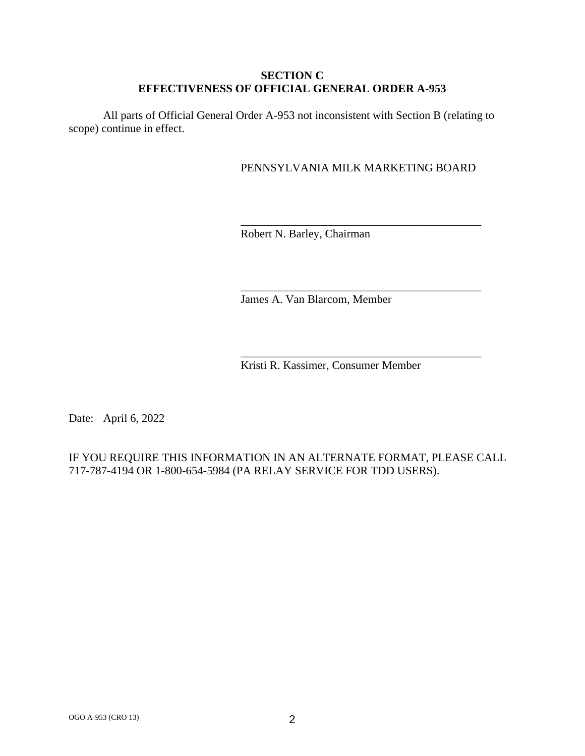## **SECTION C EFFECTIVENESS OF OFFICIAL GENERAL ORDER A-953**

All parts of Official General Order A-953 not inconsistent with Section B (relating to scope) continue in effect.

# PENNSYLVANIA MILK MARKETING BOARD

\_\_\_\_\_\_\_\_\_\_\_\_\_\_\_\_\_\_\_\_\_\_\_\_\_\_\_\_\_\_\_\_\_\_\_\_\_\_\_\_\_\_

\_\_\_\_\_\_\_\_\_\_\_\_\_\_\_\_\_\_\_\_\_\_\_\_\_\_\_\_\_\_\_\_\_\_\_\_\_\_\_\_\_\_

\_\_\_\_\_\_\_\_\_\_\_\_\_\_\_\_\_\_\_\_\_\_\_\_\_\_\_\_\_\_\_\_\_\_\_\_\_\_\_\_\_\_

Robert N. Barley, Chairman

James A. Van Blarcom, Member

Kristi R. Kassimer, Consumer Member

Date: April 6, 2022

# IF YOU REQUIRE THIS INFORMATION IN AN ALTERNATE FORMAT, PLEASE CALL 717-787-4194 OR 1-800-654-5984 (PA RELAY SERVICE FOR TDD USERS).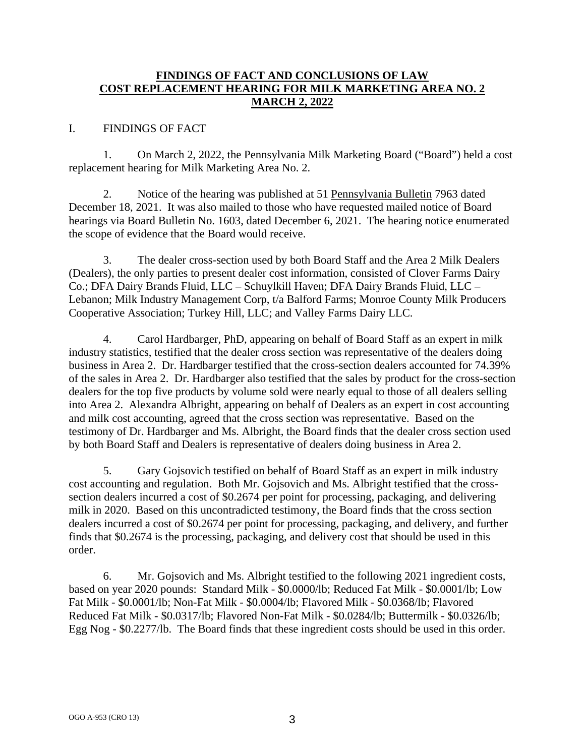## **FINDINGS OF FACT AND CONCLUSIONS OF LAW COST REPLACEMENT HEARING FOR MILK MARKETING AREA NO. 2 MARCH 2, 2022**

## I. FINDINGS OF FACT

1. On March 2, 2022, the Pennsylvania Milk Marketing Board ("Board") held a cost replacement hearing for Milk Marketing Area No. 2.

2. Notice of the hearing was published at 51 Pennsylvania Bulletin 7963 dated December 18, 2021. It was also mailed to those who have requested mailed notice of Board hearings via Board Bulletin No. 1603, dated December 6, 2021. The hearing notice enumerated the scope of evidence that the Board would receive.

3. The dealer cross-section used by both Board Staff and the Area 2 Milk Dealers (Dealers), the only parties to present dealer cost information, consisted of Clover Farms Dairy Co.; DFA Dairy Brands Fluid, LLC – Schuylkill Haven; DFA Dairy Brands Fluid, LLC – Lebanon; Milk Industry Management Corp, t/a Balford Farms; Monroe County Milk Producers Cooperative Association; Turkey Hill, LLC; and Valley Farms Dairy LLC.

4. Carol Hardbarger, PhD, appearing on behalf of Board Staff as an expert in milk industry statistics, testified that the dealer cross section was representative of the dealers doing business in Area 2. Dr. Hardbarger testified that the cross-section dealers accounted for 74.39% of the sales in Area 2. Dr. Hardbarger also testified that the sales by product for the cross-section dealers for the top five products by volume sold were nearly equal to those of all dealers selling into Area 2. Alexandra Albright, appearing on behalf of Dealers as an expert in cost accounting and milk cost accounting, agreed that the cross section was representative. Based on the testimony of Dr. Hardbarger and Ms. Albright, the Board finds that the dealer cross section used by both Board Staff and Dealers is representative of dealers doing business in Area 2.

5. Gary Gojsovich testified on behalf of Board Staff as an expert in milk industry cost accounting and regulation. Both Mr. Gojsovich and Ms. Albright testified that the crosssection dealers incurred a cost of \$0.2674 per point for processing, packaging, and delivering milk in 2020. Based on this uncontradicted testimony, the Board finds that the cross section dealers incurred a cost of \$0.2674 per point for processing, packaging, and delivery, and further finds that \$0.2674 is the processing, packaging, and delivery cost that should be used in this order.

6. Mr. Gojsovich and Ms. Albright testified to the following 2021 ingredient costs, based on year 2020 pounds: Standard Milk - \$0.0000/lb; Reduced Fat Milk - \$0.0001/lb; Low Fat Milk - \$0.0001/lb; Non-Fat Milk - \$0.0004/lb; Flavored Milk - \$0.0368/lb; Flavored Reduced Fat Milk - \$0.0317/lb; Flavored Non-Fat Milk - \$0.0284/lb; Buttermilk - \$0.0326/lb; Egg Nog - \$0.2277/lb. The Board finds that these ingredient costs should be used in this order.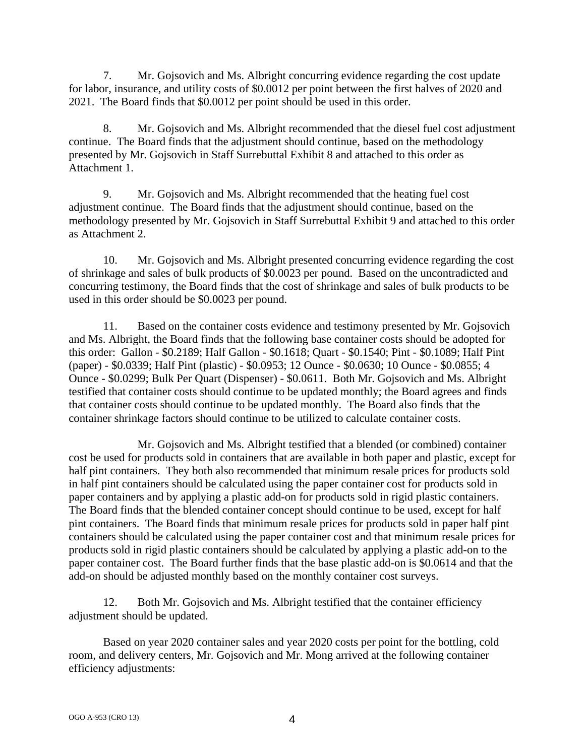7. Mr. Gojsovich and Ms. Albright concurring evidence regarding the cost update for labor, insurance, and utility costs of \$0.0012 per point between the first halves of 2020 and 2021. The Board finds that \$0.0012 per point should be used in this order.

8. Mr. Gojsovich and Ms. Albright recommended that the diesel fuel cost adjustment continue. The Board finds that the adjustment should continue, based on the methodology presented by Mr. Gojsovich in Staff Surrebuttal Exhibit 8 and attached to this order as Attachment 1.

9. Mr. Gojsovich and Ms. Albright recommended that the heating fuel cost adjustment continue. The Board finds that the adjustment should continue, based on the methodology presented by Mr. Gojsovich in Staff Surrebuttal Exhibit 9 and attached to this order as Attachment 2.

10. Mr. Gojsovich and Ms. Albright presented concurring evidence regarding the cost of shrinkage and sales of bulk products of \$0.0023 per pound. Based on the uncontradicted and concurring testimony, the Board finds that the cost of shrinkage and sales of bulk products to be used in this order should be \$0.0023 per pound.

11. Based on the container costs evidence and testimony presented by Mr. Gojsovich and Ms. Albright, the Board finds that the following base container costs should be adopted for this order: Gallon - \$0.2189; Half Gallon - \$0.1618; Quart - \$0.1540; Pint - \$0.1089; Half Pint (paper) - \$0.0339; Half Pint (plastic) - \$0.0953; 12 Ounce - \$0.0630; 10 Ounce - \$0.0855; 4 Ounce - \$0.0299; Bulk Per Quart (Dispenser) - \$0.0611. Both Mr. Gojsovich and Ms. Albright testified that container costs should continue to be updated monthly; the Board agrees and finds that container costs should continue to be updated monthly. The Board also finds that the container shrinkage factors should continue to be utilized to calculate container costs.

Mr. Gojsovich and Ms. Albright testified that a blended (or combined) container cost be used for products sold in containers that are available in both paper and plastic, except for half pint containers. They both also recommended that minimum resale prices for products sold in half pint containers should be calculated using the paper container cost for products sold in paper containers and by applying a plastic add-on for products sold in rigid plastic containers. The Board finds that the blended container concept should continue to be used, except for half pint containers. The Board finds that minimum resale prices for products sold in paper half pint containers should be calculated using the paper container cost and that minimum resale prices for products sold in rigid plastic containers should be calculated by applying a plastic add-on to the paper container cost. The Board further finds that the base plastic add-on is \$0.0614 and that the add-on should be adjusted monthly based on the monthly container cost surveys.

12. Both Mr. Gojsovich and Ms. Albright testified that the container efficiency adjustment should be updated.

Based on year 2020 container sales and year 2020 costs per point for the bottling, cold room, and delivery centers, Mr. Gojsovich and Mr. Mong arrived at the following container efficiency adjustments: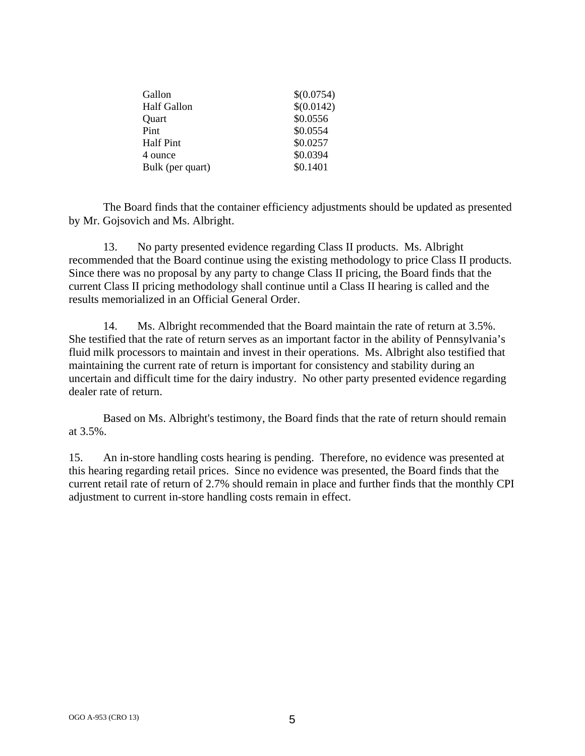| Gallon             | \$(0.0754) |
|--------------------|------------|
| <b>Half Gallon</b> | \$(0.0142) |
| Quart              | \$0.0556   |
| Pint               | \$0.0554   |
| <b>Half Pint</b>   | \$0.0257   |
| 4 ounce            | \$0.0394   |
| Bulk (per quart)   | \$0.1401   |

The Board finds that the container efficiency adjustments should be updated as presented by Mr. Gojsovich and Ms. Albright.

13. No party presented evidence regarding Class II products. Ms. Albright recommended that the Board continue using the existing methodology to price Class II products. Since there was no proposal by any party to change Class II pricing, the Board finds that the current Class II pricing methodology shall continue until a Class II hearing is called and the results memorialized in an Official General Order.

14. Ms. Albright recommended that the Board maintain the rate of return at 3.5%. She testified that the rate of return serves as an important factor in the ability of Pennsylvania's fluid milk processors to maintain and invest in their operations. Ms. Albright also testified that maintaining the current rate of return is important for consistency and stability during an uncertain and difficult time for the dairy industry. No other party presented evidence regarding dealer rate of return.

Based on Ms. Albright's testimony, the Board finds that the rate of return should remain at 3.5%.

15. An in-store handling costs hearing is pending. Therefore, no evidence was presented at this hearing regarding retail prices. Since no evidence was presented, the Board finds that the current retail rate of return of 2.7% should remain in place and further finds that the monthly CPI adjustment to current in-store handling costs remain in effect.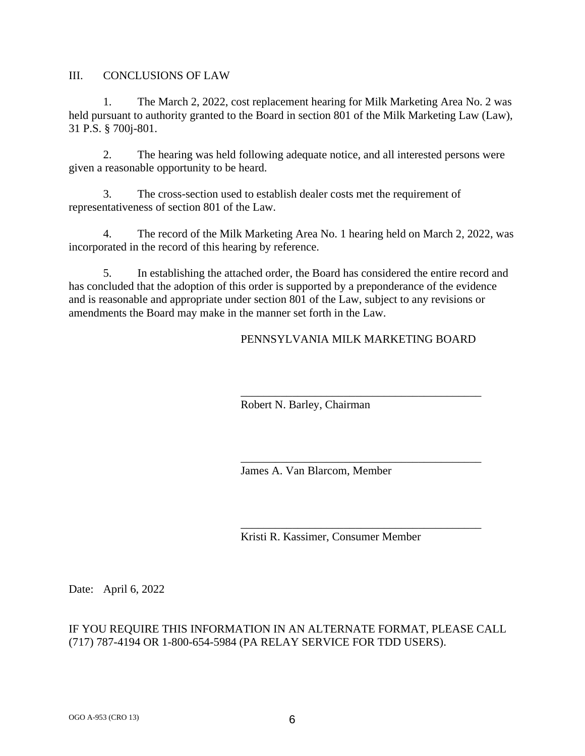III. CONCLUSIONS OF LAW

1. The March 2, 2022, cost replacement hearing for Milk Marketing Area No. 2 was held pursuant to authority granted to the Board in section 801 of the Milk Marketing Law (Law), 31 P.S. § 700j-801.

2. The hearing was held following adequate notice, and all interested persons were given a reasonable opportunity to be heard.

3. The cross-section used to establish dealer costs met the requirement of representativeness of section 801 of the Law.

4. The record of the Milk Marketing Area No. 1 hearing held on March 2, 2022, was incorporated in the record of this hearing by reference.

5. In establishing the attached order, the Board has considered the entire record and has concluded that the adoption of this order is supported by a preponderance of the evidence and is reasonable and appropriate under section 801 of the Law, subject to any revisions or amendments the Board may make in the manner set forth in the Law.

## PENNSYLVANIA MILK MARKETING BOARD

\_\_\_\_\_\_\_\_\_\_\_\_\_\_\_\_\_\_\_\_\_\_\_\_\_\_\_\_\_\_\_\_\_\_\_\_\_\_\_\_\_\_

\_\_\_\_\_\_\_\_\_\_\_\_\_\_\_\_\_\_\_\_\_\_\_\_\_\_\_\_\_\_\_\_\_\_\_\_\_\_\_\_\_\_

\_\_\_\_\_\_\_\_\_\_\_\_\_\_\_\_\_\_\_\_\_\_\_\_\_\_\_\_\_\_\_\_\_\_\_\_\_\_\_\_\_\_

Robert N. Barley, Chairman

James A. Van Blarcom, Member

Kristi R. Kassimer, Consumer Member

Date: April 6, 2022

## IF YOU REQUIRE THIS INFORMATION IN AN ALTERNATE FORMAT, PLEASE CALL (717) 787-4194 OR 1-800-654-5984 (PA RELAY SERVICE FOR TDD USERS).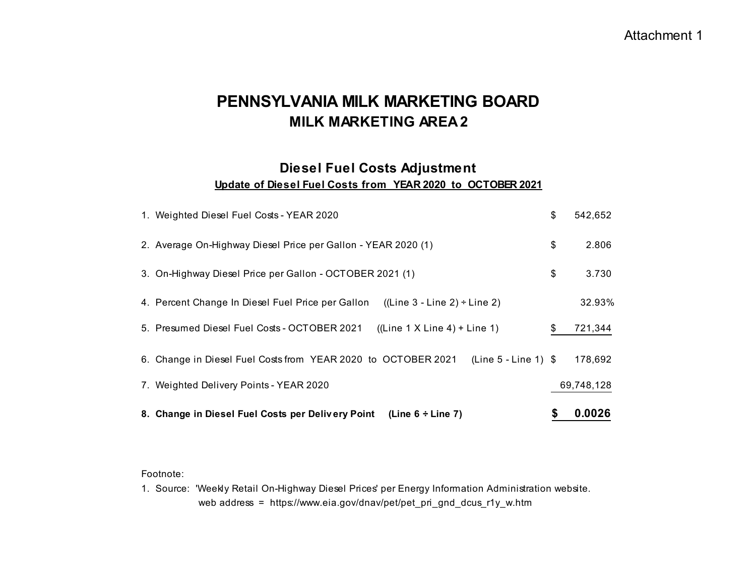# **Update of Diesel Fuel Costs from YEAR 2020 to OCTOBER 2021 Diesel Fuel Costs Adjustment**

| 8. Change in Diesel Fuel Costs per Delivery Point (Line 6 ÷ Line 7)                     |    | 0.0026     |
|-----------------------------------------------------------------------------------------|----|------------|
| 7. Weighted Delivery Points - YEAR 2020                                                 |    | 69,748,128 |
| $(Line 5 - Line 1)$ \$<br>6. Change in Diesel Fuel Costs from YEAR 2020 to OCTOBER 2021 |    | 178,692    |
| 5. Presumed Diesel Fuel Costs - OCTOBER 2021<br>$((Line 1 X Line 4) + Line 1)$          | S  | 721,344    |
| 4. Percent Change In Diesel Fuel Price per Gallon<br>$((Line 3 - Line 2) \div Line 2))$ |    | 32.93%     |
| 3. On-Highway Diesel Price per Gallon - OCTOBER 2021 (1)                                | \$ | 3.730      |
| 2. Average On-Highway Diesel Price per Gallon - YEAR 2020 (1)                           | \$ | 2.806      |
| 1. Weighted Diesel Fuel Costs - YEAR 2020                                               | \$ | 542,652    |

#### Footnote:

1. Source: 'Weekly Retail On-Highway Diesel Prices' per Energy Information Administration website. web address = https://www.eia.gov/dnav/pet/pet\_pri\_gnd\_dcus\_r1y\_w.htm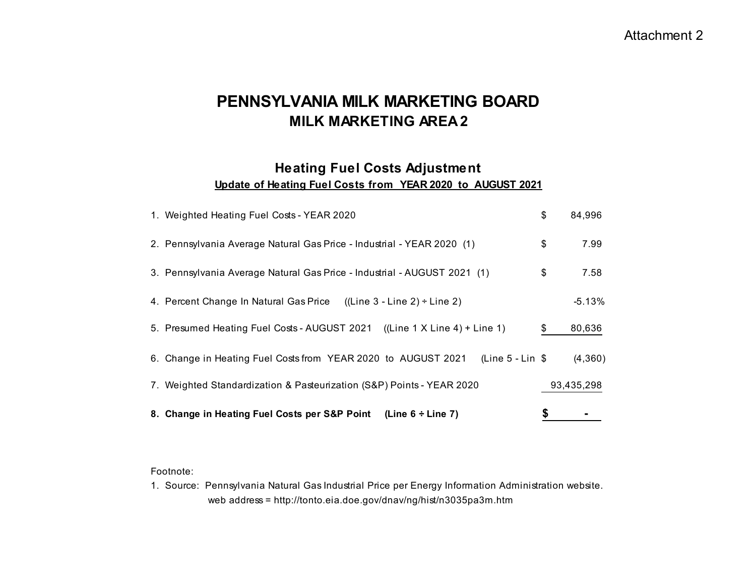# **Heating Fuel Costs Adjustment**

**Update of Heating Fuel Costs from YEAR 2020 to AUGUST 2021**

| 1. Weighted Heating Fuel Costs - YEAR 2020                                           | \$<br>84,996 |
|--------------------------------------------------------------------------------------|--------------|
| 2. Pennsylvania Average Natural Gas Price - Industrial - YEAR 2020 (1)               | \$<br>7.99   |
| 3. Pennsylvania Average Natural Gas Price - Industrial - AUGUST 2021 (1)             | \$<br>7.58   |
| 4. Percent Change In Natural Gas Price<br>$((Line 3 - Line 2) \div Line 2)$          | $-5.13%$     |
| 5. Presumed Heating Fuel Costs - AUGUST 2021<br>$((Line 1 X Line 4) + Line 1)$       | \$<br>80,636 |
| (Line $5$ - Lin $$$<br>6. Change in Heating Fuel Costs from YEAR 2020 to AUGUST 2021 | (4,360)      |
| 7. Weighted Standardization & Pasteurization (S&P) Points - YEAR 2020                | 93,435,298   |
| (Line $6 \div$ Line 7)<br>8. Change in Heating Fuel Costs per S&P Point              |              |

#### Footnote:

1. Source: Pennsylvania Natural Gas Industrial Price per Energy Information Administration website. web address = http://tonto.eia.doe.gov/dnav/ng/hist/n3035pa3m.htm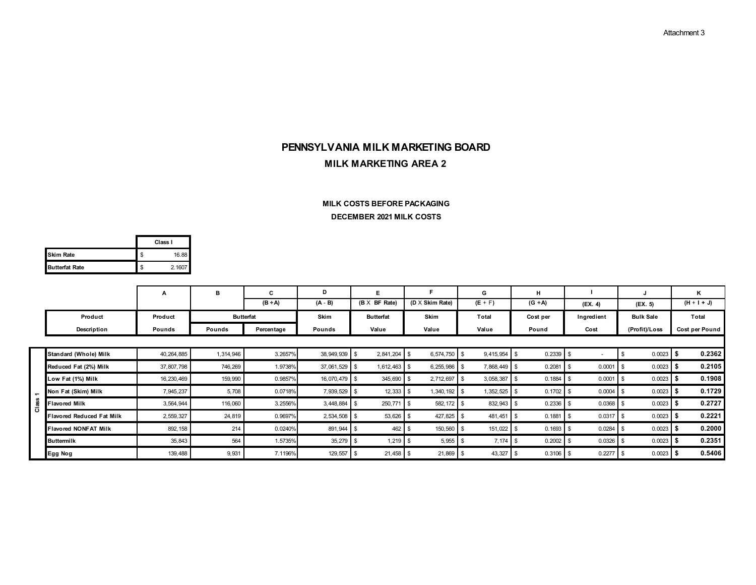#### **DECEMBER 2021 MILK COSTS MILK COSTS BEFORE PACKAGING**

|                       |    | Class I |
|-----------------------|----|---------|
| <b>Skim Rate</b>      | \$ | 16.88   |
| <b>Butterfat Rate</b> | \$ | 2.1607  |

|                |                                  | A            | в                | C            | D            | Е                    |                        | G         | н                   |             |                  | Κ              |
|----------------|----------------------------------|--------------|------------------|--------------|--------------|----------------------|------------------------|-----------|---------------------|-------------|------------------|----------------|
|                |                                  |              |                  | $(B \div A)$ | $(A - B)$    | $(B \times BF Rate)$ | $(D \times$ Skim Rate) | $(E + F)$ | $(G \div A)$        | (FX. 4)     | (FX. 5)          | $(H + I + J)$  |
|                | Product                          | Product      | <b>Butterfat</b> |              | Skim         | <b>Butterfat</b>     | <b>Skim</b>            | Total     | Cost per            | Ingredient  | <b>Bulk Sale</b> | Total          |
|                | Description                      | Pounds       | Pounds           | Percentage   | Pounds       | Value                | Value                  | Value     | Pound               | Cost        | (Profit)/Loss    | Cost per Pound |
|                |                                  |              |                  |              |              |                      |                        |           |                     |             |                  |                |
|                | Standard (Whole) Milk            | 40, 264, 885 | 1,314,946        | 3.2657%      | 38, 949, 939 | 2,841,204            | 6,574,750 \$           | 9,415,954 | 0.2339              |             | 0.0023           | 0.2362         |
|                | Reduced Fat (2%) Milk            | 37, 807, 798 | 746,269          | 1.9738%      | 37,061,529   | 1,612,463 \$         | 6,255,986 \$           | 7,868,449 | 0.2081              | 0.0001      | 0.0023           | 0.2105         |
|                | Low Fat (1%) Milk                | 16, 230, 469 | 159,990          | 0.9857%      | 16,070,479   | 345,690              | 2,712,697              | 3,058,387 | 0.1884              | 0.0001      | 0.0023           | 0.1908         |
| $\overline{ }$ | Non Fat (Skim) Milk              | 7,945,237    | 5,708            | 0.0718%      | 7,939,529    | 12,333               | $1,340,192$ \$<br>- 35 | 1,352,525 | $0.1702$ \$         | 0.0004      | 0.0023           | 0.1729         |
| <b>Class</b>   | <b>Flavored Milk</b>             | 3,564,944    | 116,060          | 3.2556%      | 3,448,884    | 250,771              | 582, 172<br>- 35       | 832,943   | $0.2336$ \$         | 0.0368      | 0.0023           | 0.2727         |
|                | <b>Flavored Reduced Fat Milk</b> | 2,559,327    | 24,819           | 0.9697%      | 2,534,508    | 53,626               | 427,825<br>- \$        | 481,451   | 0.1881              | 0.0317      | 0.0023           | 0.2221         |
|                | <b>Flavored NONFAT Milk</b>      | 892, 158     | 214              | 0.0240%      | 891,944 \$   | 462 \$               | 150,560 \$             | 151,022   | $0.1693$ \$<br>- 35 | $0.0284$ \$ | $0.0023$ \$      | 0.2000         |
|                | <b>Buttermilk</b>                | 35,843       | 564              | 1.5735%      | 35,279       | $1,219$ \$           | $5,955$ \$             | 7,174     | 0.2002<br>- 35      | 0.0326      | 0.0023           | 0.2351         |
|                | <b>Egg Nog</b>                   | 139,488      | 9,931            | 7.1196%      | 129,557      | $21,458$ \$          | $21,869$ \$            | 43,327    | $0.3106$ \$         | 0.2277      | 0.0023           | 0.5406         |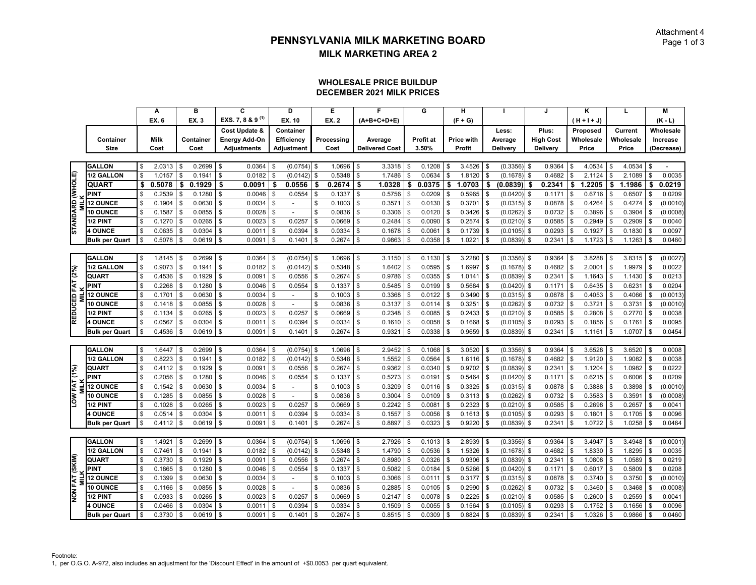#### **DECEMBER 2021 MILK PRICESWHOLESALE PRICE BUILDUP**

|                  |                       |          | A           |                | B         |              | C                            |          | D                        |            | E            | F                     |                         | G                |                 | н          |              |               |      | J.               |                | K             | L            |                    | $\overline{M}$ |
|------------------|-----------------------|----------|-------------|----------------|-----------|--------------|------------------------------|----------|--------------------------|------------|--------------|-----------------------|-------------------------|------------------|-----------------|------------|--------------|---------------|------|------------------|----------------|---------------|--------------|--------------------|----------------|
|                  |                       |          | EX. 6       |                | EX. 3     |              | EXS. 7, 8 & 9 <sup>(1)</sup> |          | EX. 10                   |            | <b>EX. 2</b> | (A+B+C+D+E)           |                         |                  |                 | $(F + G)$  |              |               |      |                  |                | $(H + H + J)$ |              |                    | $(K - L)$      |
|                  |                       |          |             |                |           |              | Cost Update &                |          | Container                |            |              |                       |                         |                  |                 |            |              | Less:         |      | Plus:            |                | Proposed      | Current      |                    | Wholesale      |
|                  | Container             |          | <b>Milk</b> |                | Container |              | <b>Energy Add-On</b>         |          | <b>Efficiency</b>        |            | Processing   | Average               |                         | <b>Profit at</b> |                 | Price with |              | Average       |      | <b>High Cost</b> |                | Wholesale     | Wholesale    |                    | Increase       |
|                  | <b>Size</b>           |          | Cost        |                | Cost      |              | <b>Adjustments</b>           |          | Adjustment               |            | Cost         | <b>Delivered Cost</b> |                         | 3.50%            |                 | Profit     |              | Delivery      |      | Delivery         |                | Price         | Price        |                    | (Decrease)     |
|                  |                       |          |             |                |           |              |                              |          |                          |            |              |                       |                         |                  |                 |            |              |               |      |                  |                |               |              |                    |                |
|                  | <b>GALLON</b>         | \$       | 2.0313      | \$             | 0.2699    | \$           | 0.0364                       |          | (0.0754)                 | \$         | 1.0696       | \$<br>3.3318          | \$                      | 0.1208           | \$              | 3.4526     | \$           | (0.3356)      | l \$ | 0.9364           |                | 4.0534        | \$<br>4.0534 | \$                 |                |
|                  | 1/2 GALLON            | \$       | 1.0157      | \$             | 0.1941    | \$           | 0.0182                       |          | (0.0142)                 | \$         | 0.5348       | \$<br>1.7486          | \$                      | 0.0634           | \$              | 1.8120     | \$           | (0.1678)      | \$   | 0.4682           |                | 2.1124        | \$<br>2.1089 | \$                 | 0.0035         |
|                  | <b>QUART</b>          | \$       | 0.5078      | \$             | 0.1929    | \$           | 0.0091                       | \$       | 0.0556                   | \$         | 0.2674       | \$<br>1.0328          | \$                      | 0.0375           | \$              | 1.0703     | \$           | (0.0839)      | \$   | 0.2341           | \$             | 1.2205        | \$<br>1.1986 | \$                 | 0.0219         |
| STANDARD (WHOLE) | <b>PINT</b>           |          | 0.2539      | \$             | 0.1280    | \$           | 0.0046                       |          | 0.0554                   | \$         | 0.1337       | \$<br>0.5756          | \$                      | 0.0209           | \$              | 0.5965     | S            | (0.0420)      | \$   | 0.1171           | \$             | 0.6716        | \$<br>0.6507 | -S                 | 0.0209         |
|                  | <b>12 OUNCE</b>       | \$.      | 0.1904      | \$             | 0.0630    | \$           | 0.0034                       |          | $\blacksquare$           | \$         | 0.1003       | \$<br>0.3571          | \$                      | 0.0130           | \$              | 0.3701     | $\mathbf{s}$ | (0.0315)      | \$   | 0.0878           |                | 0.4264        | \$<br>0.4274 | \$                 | (0.0010)       |
|                  | 10 OUNCE              | \$       | 0.1587      | \$             | 0.0855    | \$           | 0.0028                       |          |                          | \$         | 0.0836       | \$<br>0.3306          | \$                      | 0.0120           | \$              | 0.3426     | \$           | (0.0262)      | £    | 0.0732           |                | 0.3896        | \$<br>0.3904 | Ŝ.                 | (0.0008)       |
|                  | 1/2 PINT              | \$       | 0.1270      | \$             | 0.0265    | $\mathsf{s}$ | 0.0023                       | \$       | 0.0257                   | \$         | 0.0669       | \$<br>0.2484          | \$                      | 0.0090           | \$              | 0.2574     | S            | (0.0210)      | \$   | 0.0585           | -S             | 0.2949        | \$<br>0.2909 | -S                 | 0.0040         |
|                  | <b>4 OUNCE</b>        |          | 0.0635      | \$             | 0.0304    | \$           | 0.0011                       |          | 0.0394                   | \$         | 0.0334       | \$<br>0.1678          | \$                      | 0.0061           | \$              | 0.1739     | S            | (0.0105)      | \$   | 0.0293           |                | 0.1927        | \$<br>0.1830 | \$                 | 0.0097         |
|                  | <b>Bulk per Quart</b> |          | 0.5078      | \$             | 0.0619    | \$           | 0.0091                       |          | 0.1401                   | \$         | 0.2674       | \$<br>0.9863          | \$                      | 0.0358           | \$              | 1.0221     | S            | (0.0839)      | \$   | 0.2341           |                | 1.1723        | \$<br>1.1263 | \$                 | 0.0460         |
|                  |                       |          |             |                |           |              |                              |          |                          |            |              |                       |                         |                  |                 |            |              |               |      |                  |                |               |              |                    |                |
|                  | <b>GALLON</b>         | \$       | 1.8145      | \$             | 0.2699    | $\mathsf{s}$ | 0.0364                       |          | (0.0754)                 | $\sqrt{3}$ | 1.0696       | \$<br>3.1150          | \$                      | 0.1130           | \$              | 3.2280     | \$           | $(0.3356)$ \$ |      | 0.9364           |                | 3.8288        | \$<br>3.8315 | <b>S</b>           | (0.0027)       |
|                  | 1/2 GALLON            | <b>S</b> | 0.9073      | \$             | 0.1941    | \$           | 0.0182                       |          | (0.0142)                 | \$         | 0.5348       | \$<br>1.6402          | \$                      | 0.0595           | \$              | 1.6997     | S            | (0.1678)      | £    | 0.4682           |                | 2.0001        | \$<br>1.9979 | \$                 | 0.0022         |
| REDUCED FAT (2%) | QUART                 |          | 0.4536      | \$             | 0.1929    | \$           | 0.0091                       | \$       | 0.0556                   | \$         | 0.2674       | \$<br>0.9786          | \$                      | 0.0355           | \$              | 1.0141     | S            | (0.0839)      | \$   | 0.2341           |                | 1.1643        | \$<br>1.1430 | Ŝ.                 | 0.0213         |
|                  | <b>PINT</b>           |          | 0.2268      | \$             | 0.1280    | \$           | 0.0046                       |          | 0.0554                   | \$         | 0.1337       | \$<br>0.5485          | \$                      | 0.0199           | \$              | 0.5684     | \$           | (0.0420)      | \$   | 0.1171           |                | 0.6435        | \$<br>0.6231 | Ŝ.                 | 0.0204         |
|                  | <b>12 OUNCE</b>       | \$       | 0.1701      | \$             | 0.0630    | \$           | 0.0034                       | \$       | $\overline{a}$           | \$         | 0.1003       | \$<br>0.3368          | \$                      | 0.0122           | \$              | 0.3490     | \$           | (0.0315)      | \$   | 0.0878           | £.             | 0.4053        | \$<br>0.4066 | Ŝ.                 | (0.0013)       |
|                  | <b>10 OUNCE</b>       |          | 0.1418      | \$             | 0.0855    | \$           | 0.0028                       |          |                          | \$         | 0.0836       | \$<br>0.3137          | \$                      | 0.0114           | \$              | 0.3251     | \$           | (0.0262)      |      | 0.0732           |                | 0.3721        | \$<br>0.3731 | $\mathbf{\hat{s}}$ | (0.0010)       |
|                  | 1/2 PINT              |          | 0.1134      | \$             | 0.0265    | \$           | 0.0023                       |          | 0.0257                   | \$         | 0.0669       | \$<br>0.2348          | \$                      | 0.0085           | \$              | 0.2433     | -S           | (0.0210)      | \$   | 0.0585           |                | 0.2808        | \$<br>0.2770 | \$                 | 0.0038         |
|                  | <b>4 OUNCE</b>        | \$       | 0.0567      | <b>S</b>       | 0.0304    | $\sqrt{3}$   | 0.0011                       | \$       | 0.0394                   | \$         | 0.0334       | \$<br>0.1610          | \$                      | 0.0058           | \$              | 0.1668     | \$           | (0.0105)      | \$   | 0.0293           | $\mathfrak{L}$ | 0.1856        | \$<br>0.1761 | \$                 | 0.0095         |
|                  | <b>Bulk per Quart</b> | Ŝ.       | 0.4536      | \$             | 0.0619    | l \$         | 0.0091                       | \$       | 0.1401                   | \$         | 0.2674       | \$<br>0.9321          | \$                      | 0.0338           | \$              | 0.9659     | \$           | (0.0839)      | \$   | 0.2341           | \$             | 1.1161        | \$<br>1.0707 | $\mathbf{s}$       | 0.0454         |
|                  |                       |          |             |                |           |              |                              |          |                          |            |              |                       |                         |                  |                 |            |              |               |      |                  |                |               |              |                    |                |
|                  | <b>GALLON</b>         | Ŝ.       | 1.6447      | <b>S</b>       | 0.2699    | $\mathsf{s}$ | 0.0364                       | <b>S</b> | (0.0754)                 | \$         | 1.0696       | \$<br>2.9452          | \$                      | 0.1068           | \$              | 3.0520     | \$           | $(0.3356)$ \$ |      | 0.9364           | \$             | 3.6528        | \$<br>3.6520 | l \$               | 0.0008         |
|                  | 1/2 GALLON            | \$       | 0.8223      | \$             | 0.1941    | \$           | 0.0182                       |          | (0.0142)                 | \$         | 0.5348       | \$<br>1.5552          | \$                      | 0.0564           | \$              | 1.6116     | S            | (0.1678)      | \$   | 0.4682           |                | 1.9120        | \$<br>1.9082 | \$                 | 0.0038         |
|                  | QUART                 |          | 0.4112      | \$             | 0.1929    | \$           | 0.0091                       |          | 0.0556                   | \$         | 0.2674       | \$<br>0.9362          | \$                      | 0.0340           | \$              | 0.9702     | S            | (0.0839)      | \$.  | 0.2341           |                | 1.1204        | \$<br>1.0982 | Ŝ.                 | 0.0222         |
| LOW FAT (1%)     | <b>PINT</b>           | \$       | 0.2056      | \$             | 0.1280    | \$           | 0.0046                       | \$       | 0.0554                   | \$         | 0.1337       | \$<br>0.5273          | $\sqrt[6]{\frac{1}{2}}$ | 0.0191           | \$              | 0.5464     | \$           | (0.0420)      | \$   | 0.1171           | \$             | 0.6215        | \$<br>0.6006 | \$                 | 0.0209         |
|                  | <b>12 OUNCE</b>       | \$       | 0.1542      | \$             | 0.0630    | \$           | 0.0034                       |          | $\sim$                   | \$         | 0.1003       | \$<br>0.3209          | \$                      | 0.0116           | \$              | 0.3325     | $\mathbf{s}$ | (0.0315)      | \$   | 0.0878           |                | 0.3888        | \$<br>0.3898 | Ŝ.                 | (0.0010)       |
|                  | <b>10 OUNCE</b>       | \$       | 0.1285      |                | 0.0855    | \$           | 0.0028                       | \$       | $\overline{a}$           | \$         | 0.0836       | \$<br>0.3004          | \$                      | 0.0109           | \$              | 0.3113     | \$           | (0.0262)      | \$   | 0.0732           |                | 0.3583        | \$<br>0.3591 | Ŝ.                 | (0.0008)       |
|                  | 1/2 PINT              | \$       | 0.1028      | \$             | 0.0265    | \$           | 0.0023                       | \$       | 0.0257                   | \$         | 0.0669       | \$<br>0.2242          | $\mathfrak s$           | 0.0081           | $$\mathbbmss{}$ | 0.2323     | \$           | (0.0210)      | \$   | 0.0585           | \$             | 0.2698        | \$<br>0.2657 | \$                 | 0.0041         |
|                  | <b>4 OUNCE</b>        |          | 0.0514      | \$             | 0.0304    | \$           | 0.0011                       |          | 0.0394                   | \$         | 0.0334       | \$<br>0.1557          | \$                      | 0.0056           | \$              | 0.1613     | $\mathbf{s}$ | (0.0105)      | \$   | 0.0293           |                | 0.1801        | \$<br>0.1705 | Ŝ.                 | 0.0096         |
|                  | <b>Bulk per Quart</b> |          | 0.4112      | \$             | 0.0619    | $\sqrt{3}$   | 0.0091                       | \$       | 0.1401                   | \$         | 0.2674       | \$<br>0.8897          | \$                      | 0.0323           |                 | 0.9220     | \$           | (0.0839)      | \$   | 0.2341           |                | 1.0722        | \$<br>1.0258 | Ŝ.                 | 0.0464         |
|                  |                       |          |             |                |           |              |                              |          |                          |            |              |                       |                         |                  |                 |            |              |               |      |                  |                |               |              |                    |                |
|                  | <b>GALLON</b>         | Ŝ.       | 1.4921      | \$             | 0.2699    | \$           | 0.0364                       |          | (0.0754)                 | \$         | 1.0696       | \$<br>2.7926          | \$                      | 0.1013           | \$              | 2.8939     | -9           | (0.3356)      | \$   | 0.9364           |                | 3.4947        | \$<br>3.4948 | -S                 | (0.0001)       |
|                  | 1/2 GALLON            |          | 0.7461      | \$             | 0.1941    | \$           | 0.0182                       |          | (0.0142)                 | \$         | 0.5348       | \$<br>1.4790          | \$                      | 0.0536           |                 | 1.5326     | \$           | (0.1678)      | \$   | 0.4682           |                | 1.8330        | \$<br>1.8295 |                    | 0.0035         |
|                  | QUART                 | \$       | 0.3730      | \$             | 0.1929    | \$           | 0.0091                       |          | 0.0556                   | \$         | 0.2674       | \$<br>0.8980          | \$                      | 0.0326           | \$              | 0.9306     | \$           | (0.0839)      | £    | 0.2341           | \$             | 1.0808        | \$<br>1.0589 | \$                 | 0.0219         |
| NON FAT (SKIM)   | <b>PINT</b>           |          | 0.1865      | $\mathfrak{S}$ | 0.1280    | \$           | 0.0046                       |          | 0.0554                   | \$         | 0.1337       | \$<br>0.5082          | \$                      | 0.0184           | \$              | 0.5266     | $\mathbf{s}$ | (0.0420)      | \$   | 0.1171           | \$             | 0.6017        | \$<br>0.5809 | <b>S</b>           | 0.0208         |
|                  | <b>12 OUNCE</b>       |          | 0.1399      |                | 0.0630    | \$           | 0.0034                       |          | $\overline{\phantom{a}}$ | \$         | 0.1003       | \$<br>0.3066          | \$                      | 0.0111           | \$              | 0.3177     | \$           | (0.0315)      |      | 0.0878           |                | 0.3740        | \$<br>0.3750 |                    | (0.0010)       |
|                  | <b>10 OUNCE</b>       | \$       | 0.1166      | \$             | 0.0855    | \$           | 0.0028                       | \$       | $\sim$                   | \$         | 0.0836       | \$<br>0.2885          | \$                      | 0.0105           | \$              | 0.2990     | \$           | (0.0262)      | \$   | 0.0732           | \$.            | 0.3460        | \$<br>0.3468 | \$                 | (0.0008)       |
|                  | 1/2 PINT              | \$       | 0.0933      | \$             | 0.0265    | \$           | 0.0023                       |          | 0.0257                   | \$         | 0.0669       | \$<br>0.2147          | \$                      | 0.0078           | \$              | 0.2225     | $\mathbf{s}$ | (0.0210)      | ٩.   | 0.0585           |                | 0.2600        | \$<br>0.2559 | \$                 | 0.0041         |
|                  | <b>4 OUNCE</b>        |          | 0.0466      |                | 0.0304    | \$           | 0.0011                       |          | 0.0394                   | \$         | 0.0334       | \$<br>0.1509          | \$                      | 0.0055           |                 | 0.1564     |              | (0.0105)      |      | 0.0293           |                | 0.1752        | 0.1656       |                    | 0.0096         |
|                  | <b>Bulk per Quart</b> |          | 0.3730      | \$             | 0.0619    | \$           | 0.0091                       |          | 0.1401                   | \$         | 0.2674       | \$<br>0.8515          | \$                      | 0.0309           | \$              | 0.8824     | S            | (0.0839)      | \$   | 0.2341           |                | 1.0326        | \$<br>0.9866 |                    | 0.0460         |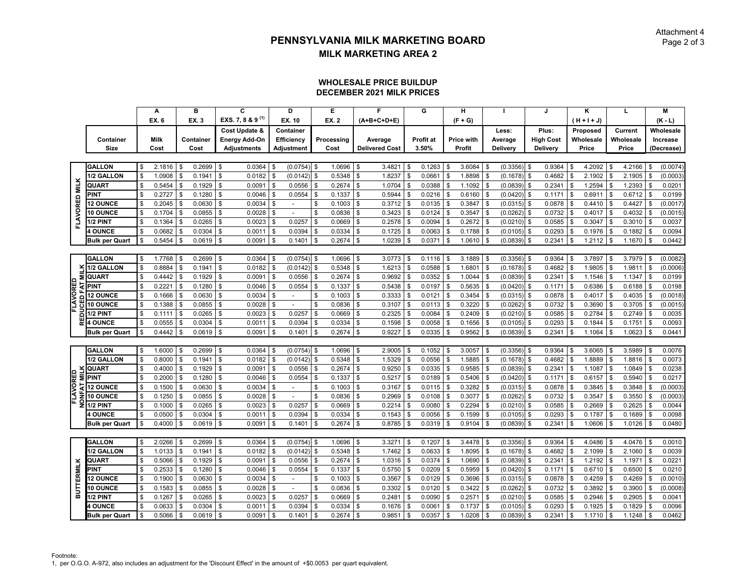#### **DECEMBER 2021 MILK PRICESWHOLESALE PRICE BUILDUP**

|                   |                                |             | А                |                | в                |               | C                            |          | D                         |                    | Е                |               | F                     |          | G                |          | н                 |          |                      |            | J                |      | ĸ                |               | L                |          | M                  |
|-------------------|--------------------------------|-------------|------------------|----------------|------------------|---------------|------------------------------|----------|---------------------------|--------------------|------------------|---------------|-----------------------|----------|------------------|----------|-------------------|----------|----------------------|------------|------------------|------|------------------|---------------|------------------|----------|--------------------|
|                   |                                |             | EX. 6            |                | EX. 3            |               | EXS. 7, 8 & 9 <sup>(1)</sup> |          | EX. 10                    |                    | EX. 2            |               | $(A+B+C+D+E)$         |          |                  |          | $(F + G)$         |          |                      |            |                  |      | (H+I+J)          |               |                  |          | $(K - L)$          |
|                   |                                |             |                  |                |                  |               | Cost Update &                |          | Container                 |                    |                  |               |                       |          |                  |          |                   |          | Less:                |            | Plus:            |      | Proposed         |               | Current          |          | Wholesale          |
|                   | Container                      |             | <b>Milk</b>      |                | Container        |               | <b>Energy Add-On</b>         |          | Efficiency                |                    | Processing       |               | Average               |          | Profit at        |          | <b>Price with</b> |          | Average              |            | <b>High Cost</b> |      | Wholesale        |               | Wholesale        |          | Increase           |
|                   | <b>Size</b>                    |             | Cost             |                | Cost             |               | <b>Adjustments</b>           |          | Adjustment                |                    | Cost             |               | <b>Delivered Cost</b> |          | 3.50%            |          | Profit            |          | Delivery             |            | Delivery         |      | Price            |               | Price            |          | (Decrease)         |
|                   |                                |             |                  |                |                  |               |                              |          |                           |                    |                  |               |                       |          |                  |          |                   |          |                      |            |                  |      |                  |               |                  |          |                    |
|                   | <b>GALLON</b>                  | \$          | 2.1816           | $\mathfrak s$  | 0.2699           | \$            | 0.0364                       | \$       | $(0.0754)$ \$             |                    | 1.0696           | $\frac{1}{2}$ | 3.4821                | \$       | 0.1263           | -\$      | $3.6084$ \$       |          | $(0.3356)$ \$        |            | 0.9364           |      | 4.2092           | Ŝ.            | 4.2166           | Ŝ.       | (0.0074)           |
|                   | 1/2 GALLON                     | \$          | 1.0908           | \$             | 0.1941           | \$            | 0.0182                       | \$       | (0.0142)                  | -S                 | 0.5348           | \$            | 1.8237                | \$       | 0.0661           |          | 1.8898            | \$       | (0.1678)             | \$         | 0.4682           |      | 2.1902           | \$            | 2.1905           | \$       | (0.0003)           |
|                   | QUART                          | \$          | 0.5454           | $\mathfrak s$  | 0.1929           | \$            | 0.0091                       | \$       | 0.0556                    |                    | 0.2674           | \$            | 1.0704                | \$       | 0.0388           |          | 1.1092            | \$       | (0.0839)             | -\$        | 0.2341           |      | 1.2594           | \$            | 1.2393           | Ŝ.       | 0.0201             |
|                   | <b>PINT</b>                    | \$          | 0.2727           | $\mathfrak s$  | 0.1280           | \$            | 0.0046                       | \$       | 0.0554                    |                    | 0.1337           | \$            | 0.5944                | \$       | 0.0216           |          | 0.6160            | \$       | (0.0420)             | \$         | 0.1171           |      | 0.6911           | \$            | 0.6712           | \$       | 0.0199             |
| FLAVORED MILK     | <b>12 OUNCE</b>                | Ŝ           | 0.2045           | \$             | 0.0630           | \$            | 0.0034                       | \$       |                           |                    | 0.1003           | \$            | 0.3712                | \$       | 0.0135           |          | 0.3847            | \$       | (0.0315)             | \$         | 0.0878           |      | 0.4410           | \$            | 0.4427           | \$.      | (0.0017)           |
|                   | 10 OUNCE                       | \$          | 0.1704           | \$             | 0.0855           | \$            | 0.0028                       | \$       | $\sim$                    |                    | 0.0836           | \$            | 0.3423                | \$       | 0.0124           |          | 0.3547            | \$       | (0.0262)             | - \$       | 0.0732           |      | 0.4017           | \$            | 0.4032           | Ŝ.       | (0.0015)           |
|                   | 1/2 PINT                       | \$          | 0.1364           | \$             | 0.0265           | \$            | 0.0023                       | \$       | 0.0257                    | <b>S</b>           | 0.0669           | \$            | 0.2578                | \$       | 0.0094           | \$       | 0.2672            | \$       | $(0.0210)$ \$        |            | 0.0585           |      | 0.3047           | \$            | 0.3010           | <b>S</b> | 0.0037             |
|                   | <b>4 OUNCE</b>                 | \$          | 0.0682           | \$             | 0.0304           | \$            | 0.0011                       | \$       | 0.0394                    |                    | 0.0334           | $\mathbb{S}$  | 0.1725                | \$       | 0.0063           |          | 0.1788            | \$       | (0.0105)             | \$         | 0.0293           |      | 0.1976           | \$            | 0.1882           | Ŝ.       | 0.0094             |
|                   | <b>Bulk per Quart</b>          | \$          | 0.5454           | \$             | 0.0619           | \$            | 0.0091                       | \$       | 0.1401                    |                    | 0.2674           | \$            | 1.0239                | \$       | 0.0371           |          | 1.0610            | \$       | (0.0839)             | \$         | 0.2341           |      | 1.2112           | \$            | 1.1670           | Ŝ.       | 0.0442             |
|                   |                                |             |                  |                |                  |               |                              |          |                           |                    |                  |               |                       |          |                  |          |                   |          |                      |            |                  |      |                  |               |                  |          |                    |
|                   | <b>GALLON</b>                  | \$          | 1.7768           | \$             | 0.2699           | \$            | 0.0364                       | \$       | $(0.0754)$ \$             |                    | 1.0696           | \$            | 3.0773                | \$       | 0.1116           |          | 3.1889            | \$       | (0.3356)             | \$         | 0.9364           |      | 3.7897           | \$            | 3.7979           | \$       | (0.0082)           |
|                   | 1/2 GALLON                     | \$          | 0.8884           | $\mathfrak s$  | 0.1941           | \$            | 0.0182                       | \$       | (0.0142)                  | \$                 | 0.5348           | \$            | 1.6213                | \$       | 0.0588           |          | 1.6801            | \$       | (0.1678)             | \$         | 0.4682           |      | 1.9805           | \$            | 1.9811           | \$       | (0.0006)           |
| Σ                 | <b>QUART</b>                   | \$          | 0.4442           | \$             | 0.1929           | \$            | 0.0091                       | \$       | 0.0556                    | \$                 | 0.2674           | \$            | 0.9692                | \$       | 0.0352           |          | 1.0044            | \$       | (0.0839)             | <b>S</b>   | 0.2341           |      | 1.1546           | \$            | 1.1347           | \$       | 0.0199             |
|                   | <b>PINT</b>                    | \$          | 0.2221           | $\mathfrak s$  | 0.1280           | \$            | 0.0046                       | \$       | 0.0554                    | \$                 | 0.1337           | \$            | 0.5438                | \$       | 0.0197           |          | 0.5635            | \$       | (0.0420)             | \$         | 0.1171           |      | 0.6386           | \$            | 0.6188           | Ŝ.       | 0.0198             |
| FLAVORED          | <b>12 OUNCE</b>                | \$          | 0.1666           | \$             | 0.0630           | \$            | 0.0034                       | \$       |                           | \$                 | 0.1003           | \$            | 0.3333                | \$       | 0.0121           |          | 0.3454            | \$       | (0.0315)             | \$         | 0.0878           |      | 0.4017           | \$            | 0.4035           | \$       | (0.0018)           |
|                   | 10 OUNCE                       | \$          | 0.1388           | $\mathfrak s$  | 0.0855           | \$            | 0.0028                       | \$       | $\sim$                    | \$                 | 0.0836           | \$            | 0.3107                | \$       | 0.0113           | S.       | 0.3220            | \$       | (0.0262)             | \$         | 0.0732           | \$   | 0.3690           | \$            | 0.3705           | \$       | (0.0015)           |
| ក                 | 1/2 PINT                       | S           | 0.1111           | \$             | 0.0265           | \$            | 0.0023                       | \$       | 0.0257                    |                    | 0.0669           | \$            | 0.2325                | \$       | 0.0084           |          | 0.2409            | \$       | (0.0210)             | \$         | 0.0585           |      | 0.2784           | \$            | 0.2749           | Ŝ.       | 0.0035             |
|                   | <b>4 OUNCE</b>                 | \$          | 0.0555           | \$             | 0.0304           | \$            | 0.0011                       | \$       | 0.0394                    |                    | 0.0334           | \$            | 0.1598                |          | 0.0058           |          | 0.1656            | \$       | (0.0105)             | -\$        | 0.0293           |      | 0.1844           | \$            | 0.1751           | \$       | 0.0093             |
|                   | <b>Bulk per Quart</b>          | \$          | 0.4442           | \$             | 0.0619           | \$            | 0.0091                       | \$       | 0.1401                    | \$                 | 0.2674           | \$            | 0.9227                | \$       | 0.0335           | \$       | 0.9562            | \$       | (0.0839)             | - \$       | 0.2341           |      | 1.1064           | \$            | 1.0623           | \$       | 0.0441             |
|                   |                                |             |                  |                |                  |               |                              |          |                           |                    |                  |               |                       |          |                  |          |                   |          |                      |            |                  |      |                  |               |                  |          |                    |
|                   | <b>GALLON</b>                  | \$          | 1.6000           | \$             | 0.2699           | \$            | 0.0364                       |          | (0.0754)                  | l \$               | 1.0696           | \$            | 2.9005                | \$       | 0.1052           |          | 3.0057            | \$       | (0.3356)             | \$         | 0.9364           |      | 3.6065           | \$            | 3.5989           |          | 0.0076             |
|                   | 1/2 GALLON                     | \$          | 0.8000           | $\mathfrak s$  | 0.1941           | \$            | 0.0182                       | \$       | (0.0142)                  | \$                 | 0.5348           | \$            | 1.5329                | \$       | 0.0556           |          | 1.5885            | \$       | (0.1678)             | \$         | 0.4682           |      | 1.8889           | \$            | 1.8816           | \$       | 0.0073             |
|                   | <b>QUART</b>                   | \$          | 0.4000           | $\mathfrak{S}$ | 0.1929           | \$            | 0.0091                       | \$       | 0.0556                    |                    | 0.2674           | \$            | 0.9250                | \$       | 0.0335           |          | 0.9585            | \$       | (0.0839)             | \$         | 0.2341           |      | 1.1087           | \$            | 1.0849           | \$       | 0.0238             |
| FLAVORED          | <b>PINT</b>                    | \$          | 0.2000           | \$             | 0.1280           | $\mathcal{S}$ | 0.0046                       | \$       | 0.0554                    |                    | 0.1337           | \$            | 0.5217                |          | 0.0189           |          | 0.5406            | Ŝ        | (0.0420)             | \$         | 0.1171           |      | 0.6157           | \$            | 0.5940           |          | 0.0217             |
|                   | <b>12 OUNCE</b>                | \$          | 0.1500           | \$             | 0.0630           | \$            | 0.0034                       | \$       | $\blacksquare$            |                    | 0.1003           | \$            | 0.3167                | \$       | 0.0115           | - \$     | 0.3282            | \$       | (0.0315)             | \$         | 0.0878           |      | 0.3845           | \$            | 0.3848           | Ŝ.       | (0.0003)           |
| ≱<br>g            | 10 OUNCE                       | \$          | 0.1250           | $\mathfrak s$  | 0.0855           | \$            | 0.0028                       | \$       |                           | \$                 | 0.0836           | \$            | 0.2969                | \$       | 0.0108           |          | 0.3077            | \$       | (0.0262)             | \$         | 0.0732           |      | 0.3547           | \$            | 0.3550           | \$       | (0.0003)           |
|                   | 1/2 PINT                       | $\mathbb S$ | 0.1000           | $\mathfrak s$  | 0.0265           | \$            | 0.0023                       | \$       | 0.0257                    |                    | 0.0669           | \$            | 0.2214                | \$       | 0.0080           |          | 0.2294            | \$       | (0.0210)             | \$         | 0.0585           |      | 0.2669           | \$            | 0.2625           | Ŝ.       | 0.0044             |
|                   | <b>4 OUNCE</b>                 | \$          | 0.0500           | \$             | 0.0304           | \$            | 0.0011                       | \$       | 0.0394                    |                    | 0.0334           | \$            | 0.1543                | \$       | 0.0056           |          | 0.1599            | \$       | (0.0105)             | \$         | 0.0293           |      | 0.1787           | \$            | 0.1689           | Ŝ.       | 0.0098             |
|                   | <b>Bulk per Quart</b>          | \$          | 0.4000           | $\mathfrak s$  | 0.0619           | \$            | 0.0091                       | \$       | 0.1401                    | \$                 | 0.2674           | \$            | 0.8785                | \$       | 0.0319           |          | 0.9104            | \$       | (0.0839)             | \$         | 0.2341           |      | 1.0606           | \$            | 1.0126           | \$       | 0.0480             |
|                   |                                |             |                  |                |                  |               |                              |          |                           |                    |                  |               |                       |          |                  |          |                   |          |                      |            |                  |      |                  |               |                  |          |                    |
|                   | <b>GALLON</b>                  | \$<br>\$    | 2.0266           | \$             | 0.2699           | \$            | 0.0364                       | - \$     | $(0.0754)$ \$<br>(0.0142) |                    | 1.0696<br>0.5348 | $\mathfrak s$ | 3.3271                | \$       | 0.1207<br>0.0633 | - \$     | 3.4478<br>1.8095  | \$<br>\$ | $(0.3356)$ \$        |            | 0.9364           | - \$ | 4.0486<br>2.1099 | \$            | $4.0476$ \$      |          | 0.0010<br>0.0039   |
|                   | 1/2 GALLON                     |             | 1.0133           | $\mathfrak s$  | 0.1941           | \$            | 0.0182                       | \$       |                           | \$                 |                  | \$            | 1.7462                | \$       |                  | \$       |                   |          | (0.1678)             | - \$       | 0.4682           |      |                  | \$            | 2.1060           | \$       |                    |
|                   | QUART                          | \$          | 0.5066           | \$             | 0.1929           | \$            | 0.0091                       | \$       | 0.0556                    |                    | 0.2674           | \$            | 1.0316                | \$<br>\$ | 0.0374           |          | 1.0690            | \$       | (0.0839)             | \$         | 0.2341           |      | 1.2192           | \$            | 1.1971           | Ŝ.       | 0.0221             |
|                   | <b>PINT</b><br><b>12 OUNCE</b> | \$<br>\$    | 0.2533<br>0.1900 | \$<br>\$       | 0.1280<br>0.0630 | \$<br>\$      | 0.0046<br>0.0034             | \$<br>\$ | 0.0554<br>$\blacksquare$  | \$                 | 0.1337<br>0.1003 | \$<br>\$      | 0.5750<br>0.3567      | \$       | 0.0209<br>0.0129 |          | 0.5959<br>0.3696  | \$<br>\$ | (0.0420)<br>(0.0315) | \$<br>l \$ | 0.1171<br>0.0878 | -\$  | 0.6710<br>0.4259 | \$<br>\$      | 0.6500<br>0.4269 | \$<br>\$ | 0.0210<br>(0.0010) |
|                   |                                |             | 0.1583           |                |                  |               |                              |          |                           | $\mathbf{\hat{s}}$ |                  |               |                       |          |                  |          |                   |          |                      |            |                  |      |                  |               |                  |          |                    |
| <b>BUTTERMILK</b> | <b>10 OUNCE</b><br>1/2 PINT    | \$<br>\$    | 0.1267           | \$<br>\$       | 0.0855<br>0.0265 | \$<br>\$      | 0.0028<br>0.0023             | \$<br>\$ | 0.0257                    |                    | 0.0836<br>0.0669 | \$<br>\$      | 0.3302<br>0.2481      | \$<br>\$ | 0.0120<br>0.0090 |          | 0.3422<br>0.2571  | \$<br>\$ | (0.0262)<br>(0.0210) | \$<br>- \$ | 0.0732<br>0.0585 |      | 0.3892<br>0.2946 | \$<br>\$      | 0.3900<br>0.2905 | Ŝ.       | (0.0008)<br>0.0041 |
|                   | <b>4 OUNCE</b>                 | \$          | 0.0633           | \$             | 0.0304           | \$            | 0.0011                       | \$       | 0.0394                    |                    | 0.0334           | \$            | 0.1676                | \$       | 0.0061           |          | 0.1737            | \$       | (0.0105)             | \$         | 0.0293           |      | 0.1925           | \$            | 0.1829           | \$       | 0.0096             |
|                   |                                | \$          | 0.5066           | $\mathfrak{S}$ | 0.0619           | \$            | 0.0091                       | \$       | 0.1401                    | \$                 | 0.2674           | $\mathbb{S}$  | 0.9851                | \$       | 0.0357           | <b>S</b> | 1.0208            | \$       | (0.0839)             | \$         | 0.2341           |      | 1.1710           | $\mathfrak s$ | 1.1248           | \$       | 0.0462             |
|                   | <b>Bulk per Quart</b>          |             |                  |                |                  |               |                              |          |                           |                    |                  |               |                       |          |                  |          |                   |          |                      |            |                  | -\$  |                  |               |                  |          |                    |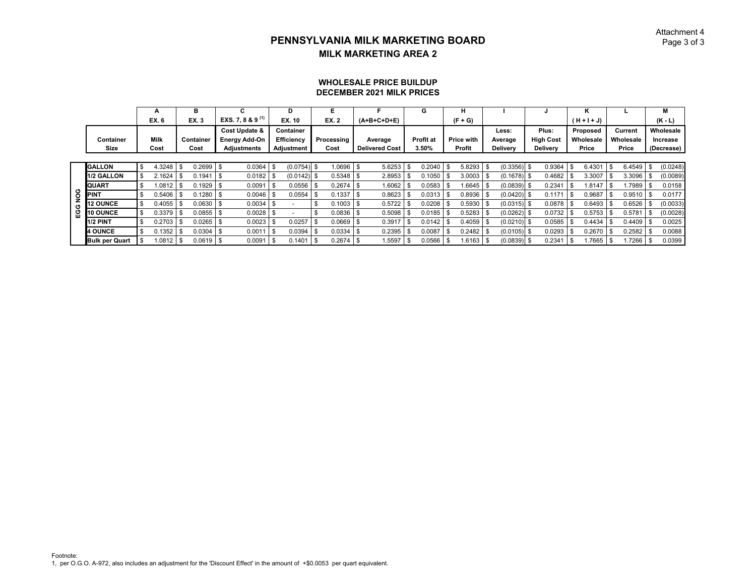#### Attachment 4Page 3 of 3

#### **DECEMBER 2021 MILK PRICESWHOLESALE PRICE BUILDUP**

|    |                       |     | A           | в            |     | С                      |      | D                 |    | Е           |      |                       |      | G                |     | н                 |                 |      |                  |      | κ             |              |          | М          |
|----|-----------------------|-----|-------------|--------------|-----|------------------------|------|-------------------|----|-------------|------|-----------------------|------|------------------|-----|-------------------|-----------------|------|------------------|------|---------------|--------------|----------|------------|
|    |                       |     | EX. 6       | <b>EX.3</b>  |     | EXS. 7, 8 & 9 $^{(1)}$ |      | EX. 10            |    | <b>EX.2</b> |      | $(A+B+C+D+E)$         |      |                  |     | $(F + G)$         |                 |      |                  |      | $(H + I + J)$ |              |          | $(K - L)$  |
|    |                       |     |             |              |     | Cost Update &          |      | Container         |    |             |      |                       |      |                  |     |                   | Less:           |      | Plus:            |      | Proposed      | Current      |          | Wholesale  |
|    | Container             |     | <b>Milk</b> | Container    |     | <b>Energy Add-On</b>   |      | <b>Efficiency</b> |    | Processing  |      | Average               |      | <b>Profit at</b> |     | <b>Price with</b> | Average         |      | <b>High Cost</b> |      | Wholesale     | Wholesale    |          | Increase   |
|    | Size                  |     | Cost        | Cost         |     | <b>Adjustments</b>     |      | Adjustment        |    | Cost        |      | <b>Delivered Cost</b> |      | 3.50%            |     | Profit            | <b>Delivery</b> |      | <b>Delivery</b>  |      | Price         | Price        |          | (Decrease) |
|    |                       |     |             |              |     |                        |      |                   |    |             |      |                       |      |                  |     |                   |                 |      |                  |      |               |              |          |            |
|    | <b>GALLON</b>         | \$  | 4.3248      | \$<br>0.2699 |     | 0.0364                 | l \$ | (0.0754)          | -S | 1.0696      | -\$  | 5.6253                | \$   | 0.2040           | -\$ | 5.8293            | \$<br>(0.3356)  | - \$ | 0.9364           | -\$  | 6.4301        | \$<br>6.4549 | <b>S</b> | (0.0248)   |
|    | 1/2 GALLON            | -\$ | 2.1624      | 0.1941       | -\$ | 0.0182                 |      | $(0.0142)$ \$     |    | 0.5348      | l \$ | 2.8953                |      | 0.1050           |     | $3.0003$ \$       | $(0.1678)$ \$   |      | 0.4682           |      | 3.3007        | 3.3096       |          | (0.0089)   |
|    | <b>QUART</b>          | \$  | .0812       | 0.1929       |     | 0.0091                 |      | 0.0556            |    | 0.2674      | - \$ | 1.6062                |      | 0.0583           |     | $1.6645$ \$       | (0.0839)        |      | 0.234            |      | 1.8147        | .7989        |          | 0.0158     |
| юG | <b>PINT</b>           |     | 0.5406      | 0.1280       |     | $0.0046$ \$            |      | 0.0554            |    | 0.1337      | - \$ | 0.8623                |      | 0.0313           |     | $0.8936$ \$       | $(0.0420)$ \$   |      | 0.117'           | l SS | 0.9687        | 0.9510       | - \$     | 0.0177     |
| O  | <b>12 OUNCE</b>       |     | 0.4055      | 0.0630       |     | 0.0034                 |      |                   |    | 0.1003      | - \$ | 0.5722                |      | 0.0208           |     | $0.5930$ \$       | $(0.0315)$ \$   |      | 0.0878           |      | 0.6493        | 0.6526       |          | (0.0033)   |
| ğ  | <b>10 OUNCE</b>       |     | 0.3379      | 0.0855       |     | $0.0028$ \ \$          |      |                   |    | 0.0836      |      | 0.5098                |      | 0.0185           |     | 0.5283            | (0.0262)        |      | 0.0732           |      | 0.5753        | 0.5781       |          | (0.0028)   |
|    | <b>1/2 PINT</b>       | \$  | 0.2703      | \$<br>0.0265 |     | $0.0023$ \$            |      | 0.0257            |    | 0.0669      | l \$ | 0.3917                |      | 0.0142           |     | $0.4059$ \$       | $(0.0210)$ \$   |      | 0.0585           |      | 0.4434        | 0.4409       |          | 0.0025     |
|    | <b>4 OUNCE</b>        | £.  | 0.1352      | 0.0304       |     | 0.0011                 | 1 \$ | 0.0394            |    | 0.0334      | -\$  | 0.2395                |      | 0.0087           |     | 0.2482            | $(0.0105)$ \$   |      | 0.0293           |      | 0.2670        | 0.2582       |          | 0.0088     |
|    | <b>Bulk per Quart</b> |     | .0812       | $0.0619$ \$  |     | 0.0091                 | 1 \$ | 0.1401            |    | 0.2674      |      | 1.5597                | - \$ | 0.0566           |     | 1.6163            | $(0.0839)$ \$   |      | 0.2341           |      | .7665         | .7266        |          | 0.0399     |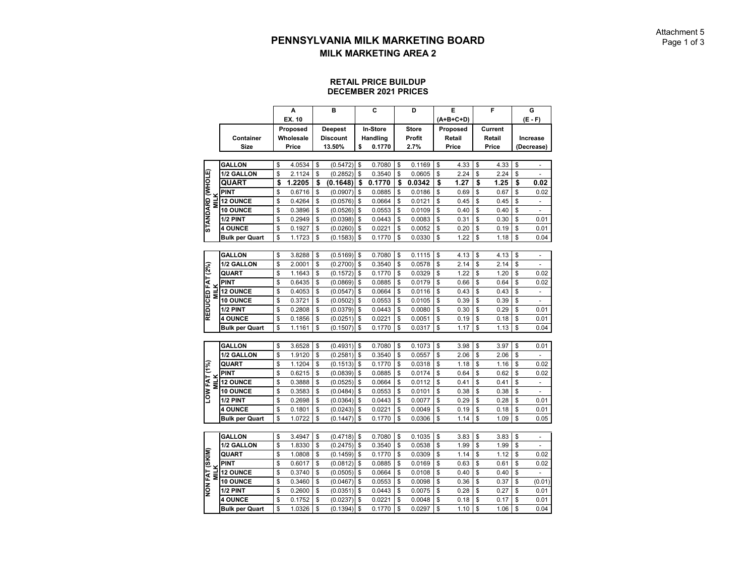#### **RETAIL PRICE BUILDUP DECEMBER 2021 PRICES**

|                         |                       | A            | B               | C            | D            | Е          | F          | G                    |
|-------------------------|-----------------------|--------------|-----------------|--------------|--------------|------------|------------|----------------------|
|                         |                       | EX. 10       |                 |              |              | (A+B+C+D)  |            | $(E - F)$            |
|                         |                       | Proposed     | <b>Deepest</b>  | In-Store     | <b>Store</b> | Proposed   | Current    |                      |
|                         | Container             | Wholesale    | <b>Discount</b> | Handling     | Profit       | Retail     | Retail     | Increase             |
|                         | Size                  | Price        | 13.50%          | \$<br>0.1770 | 2.7%         | Price      | Price      | (Decrease)           |
|                         |                       |              |                 |              |              |            |            |                      |
|                         | <b>GALLON</b>         | \$<br>4.0534 | \$<br>(0.5472)  | \$<br>0.7080 | \$<br>0.1169 | \$<br>4.33 | \$<br>4.33 | \$                   |
|                         | 1/2 GALLON            | \$<br>2.1124 | \$<br>(0.2852)  | \$<br>0.3540 | \$<br>0.0605 | \$<br>2.24 | \$<br>2.24 | \$                   |
| <b>STANDARD (WHOLE)</b> | QUART                 | \$<br>1.2205 | \$<br>(0.1648)  | \$<br>0.1770 | \$<br>0.0342 | \$<br>1.27 | \$<br>1.25 | \$<br>0.02           |
|                         | <b>PINT</b>           | \$<br>0.6716 | \$<br>(0.0907)  | \$<br>0.0885 | \$<br>0.0186 | \$<br>0.69 | \$<br>0.67 | \$<br>0.02           |
| <b>MILK</b>             | <b>12 OUNCE</b>       | \$<br>0.4264 | \$<br>(0.0576)  | \$<br>0.0664 | \$<br>0.0121 | \$<br>0.45 | \$<br>0.45 | \$                   |
|                         | <b>10 OUNCE</b>       | \$<br>0.3896 | \$<br>(0.0526)  | \$<br>0.0553 | \$<br>0.0109 | \$<br>0.40 | \$<br>0.40 | \$<br>-              |
|                         | 1/2 PINT              | \$<br>0.2949 | \$<br>(0.0398)  | \$<br>0.0443 | \$<br>0.0083 | \$<br>0.31 | \$<br>0.30 | \$<br>0.01           |
|                         | <b>4 OUNCE</b>        | \$<br>0.1927 | \$<br>(0.0260)  | \$<br>0.0221 | \$<br>0.0052 | \$<br>0.20 | \$<br>0.19 | \$<br>0.01           |
|                         | <b>Bulk per Quart</b> | \$<br>1.1723 | \$<br>(0.1583)  | \$<br>0.1770 | \$<br>0.0330 | \$<br>1.22 | \$<br>1.18 | \$<br>0.04           |
|                         |                       |              |                 |              |              |            |            |                      |
|                         | <b>GALLON</b>         | \$<br>3.8288 | \$<br>(0.5169)  | \$<br>0.7080 | \$<br>0.1115 | \$<br>4.13 | \$<br>4.13 | \$<br>÷,             |
|                         | 1/2 GALLON            | \$<br>2.0001 | \$<br>(0.2700)  | \$<br>0.3540 | \$<br>0.0578 | \$<br>2.14 | \$<br>2.14 | \$                   |
| REDUCED FAT (2%)        | <b>QUART</b>          | \$<br>1.1643 | \$<br>(0.1572)  | \$<br>0.1770 | \$<br>0.0329 | \$<br>1.22 | \$<br>1.20 | \$<br>0.02           |
|                         | <b>PINT</b>           | \$<br>0.6435 | \$<br>(0.0869)  | \$<br>0.0885 | \$<br>0.0179 | \$<br>0.66 | \$<br>0.64 | \$<br>0.02           |
| <b>MILK</b>             | <b>12 OUNCE</b>       | \$<br>0.4053 | \$<br>(0.0547)  | \$<br>0.0664 | \$<br>0.0116 | \$<br>0.43 | \$<br>0.43 | \$<br>÷,             |
|                         | <b>10 OUNCE</b>       | \$<br>0.3721 | \$<br>(0.0502)  | \$<br>0.0553 | \$<br>0.0105 | \$<br>0.39 | \$<br>0.39 | \$                   |
|                         | 1/2 PINT              | \$<br>0.2808 | \$<br>(0.0379)  | \$<br>0.0443 | \$<br>0.0080 | \$<br>0.30 | \$<br>0.29 | \$<br>0.01           |
|                         | <b>4 OUNCE</b>        | \$<br>0.1856 | \$<br>(0.0251)  | \$<br>0.0221 | \$<br>0.0051 | \$<br>0.19 | \$<br>0.18 | \$<br>0.01           |
|                         | <b>Bulk per Quart</b> | \$<br>1.1161 | \$<br>(0.1507)  | \$<br>0.1770 | \$<br>0.0317 | \$<br>1.17 | \$<br>1.13 | \$<br>0.04           |
|                         |                       |              |                 |              |              |            |            |                      |
|                         | <b>GALLON</b>         | \$<br>3.6528 | \$<br>(0.4931)  | \$<br>0.7080 | \$<br>0.1073 | \$<br>3.98 | \$<br>3.97 | \$<br>0.01           |
|                         | 1/2 GALLON            | \$<br>1.9120 | \$<br>(0.2581)  | \$<br>0.3540 | \$<br>0.0557 | \$<br>2.06 | \$<br>2.06 | \$                   |
|                         | QUART                 | \$<br>1.1204 | \$<br>(0.1513)  | \$<br>0.1770 | \$<br>0.0318 | \$<br>1.18 | \$<br>1.16 | \$<br>0.02           |
|                         | PINT                  | \$<br>0.6215 | \$<br>(0.0839)  | \$<br>0.0885 | \$<br>0.0174 | \$<br>0.64 | \$<br>0.62 | \$<br>0.02           |
| <b>MILK</b>             | <b>12 OUNCE</b>       | \$<br>0.3888 | \$<br>(0.0525)  | \$<br>0.0664 | \$<br>0.0112 | \$<br>0.41 | \$<br>0.41 | \$<br>$\overline{a}$ |
| LOW FAT (1%)            | 10 OUNCE              | \$<br>0.3583 | \$<br>(0.0484)  | \$<br>0.0553 | \$<br>0.0101 | \$<br>0.38 | \$<br>0.38 | \$<br>-              |
|                         | 1/2 PINT              | \$<br>0.2698 | \$<br>(0.0364)  | \$<br>0.0443 | \$<br>0.0077 | \$<br>0.29 | \$<br>0.28 | \$<br>0.01           |
|                         | <b>4 OUNCE</b>        | \$<br>0.1801 | \$<br>(0.0243)  | \$<br>0.0221 | \$<br>0.0049 | \$<br>0.19 | \$<br>0.18 | \$<br>0.01           |
|                         | <b>Bulk per Quart</b> | \$<br>1.0722 | \$<br>(0.1447)  | \$<br>0.1770 | \$<br>0.0306 | \$<br>1.14 | \$<br>1.09 | \$<br>0.05           |
|                         |                       |              |                 |              |              |            |            |                      |
|                         | <b>GALLON</b>         | \$<br>3.4947 | \$<br>(0.4718)  | \$<br>0.7080 | \$<br>0.1035 | \$<br>3.83 | \$<br>3.83 | \$<br>÷,             |
|                         | 1/2 GALLON            | \$<br>1.8330 | \$<br>(0.2475)  | \$<br>0.3540 | \$<br>0.0538 | \$<br>1.99 | \$<br>1.99 | \$<br>$\overline{a}$ |
|                         | QUART                 | \$<br>1.0808 | \$<br>(0.1459)  | \$<br>0.1770 | \$<br>0.0309 | \$<br>1.14 | \$<br>1.12 | \$<br>0.02           |
|                         | <b>PINT</b>           | \$<br>0.6017 | \$<br>(0.0812)  | \$<br>0.0885 | \$<br>0.0169 | \$<br>0.63 | \$<br>0.61 | \$<br>0.02           |
| <b>MILK</b>             | <b>12 OUNCE</b>       | \$<br>0.3740 | \$<br>(0.0505)  | \$<br>0.0664 | \$<br>0.0108 | \$<br>0.40 | \$<br>0.40 | \$                   |
| NON FAT (SKIM)          | 10 OUNCE              | \$<br>0.3460 | \$<br>(0.0467)  | \$<br>0.0553 | \$<br>0.0098 | \$<br>0.36 | \$<br>0.37 | \$<br>(0.01)         |
|                         | 1/2 PINT              | \$<br>0.2600 | \$<br>(0.0351)  | \$<br>0.0443 | \$<br>0.0075 | \$<br>0.28 | \$<br>0.27 | \$<br>0.01           |
|                         | <b>4 OUNCE</b>        | \$<br>0.1752 | \$<br>(0.0237)  | \$<br>0.0221 | \$<br>0.0048 | \$<br>0.18 | \$<br>0.17 | \$<br>0.01           |
|                         | <b>Bulk per Quart</b> | \$<br>1.0326 | \$<br>(0.1394)  | \$<br>0.1770 | \$<br>0.0297 | \$<br>1.10 | \$<br>1.06 | \$<br>0.04           |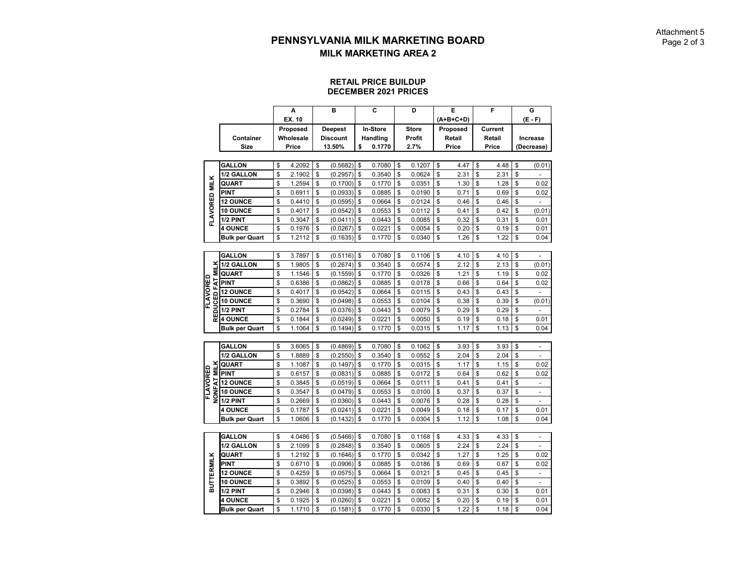#### **RETAIL PRICE BUILDUP DECEMBER 2021 PRICES**

|                   |                               | A            | в               | C            | D            | E          | F          | G                    |
|-------------------|-------------------------------|--------------|-----------------|--------------|--------------|------------|------------|----------------------|
|                   |                               | EX. 10       |                 |              |              | (A+B+C+D)  |            | (E - F)              |
|                   |                               | Proposed     | <b>Deepest</b>  | In-Store     | <b>Store</b> | Proposed   | Current    |                      |
|                   | Container                     | Wholesale    | <b>Discount</b> | Handling     | Profit       | Retail     | Retail     | <b>Increase</b>      |
|                   | <b>Size</b>                   | Price        | 13.50%          | \$<br>0.1770 | 2.7%         | Price      | Price      | (Decrease)           |
|                   |                               |              |                 |              |              |            |            |                      |
|                   | <b>GALLON</b>                 | \$<br>4.2092 | \$<br>(0.5682)  | \$<br>0.7080 | \$<br>0.1207 | \$<br>4.47 | \$<br>4.48 | \$<br>(0.01)         |
|                   | 1/2 GALLON                    | \$<br>2.1902 | \$<br>(0.2957)  | \$<br>0.3540 | \$<br>0.0624 | \$<br>2.31 | \$<br>2.31 | \$                   |
|                   | QUART                         | \$<br>1.2594 | \$<br>(0.1700)  | \$<br>0.1770 | \$<br>0.0351 | \$<br>1.30 | \$<br>1.28 | \$<br>0.02           |
|                   | <b>PINT</b>                   | \$<br>0.6911 | \$<br>(0.0933)  | \$<br>0.0885 | \$<br>0.0190 | \$<br>0.71 | \$<br>0.69 | \$<br>0.02           |
| FLAVORED MILK     | <b>12 OUNCE</b>               | \$<br>0.4410 | \$<br>(0.0595)  | \$<br>0.0664 | \$<br>0.0124 | \$<br>0.46 | \$<br>0.46 | \$                   |
|                   | 10 OUNCE                      | \$<br>0.4017 | \$<br>(0.0542)  | \$<br>0.0553 | \$<br>0.0112 | \$<br>0.41 | \$<br>0.42 | \$<br>(0.01)         |
|                   | 1/2 PINT                      | \$<br>0.3047 | \$<br>(0.0411)  | \$<br>0.0443 | \$<br>0.0085 | \$<br>0.32 | \$<br>0.31 | \$<br>0.01           |
|                   | <b>4 OUNCE</b>                | \$<br>0.1976 | \$<br>(0.0267)  | \$<br>0.0221 | \$<br>0.0054 | \$<br>0.20 | \$<br>0.19 | \$<br>0.01           |
|                   | <b>Bulk per Quart</b>         | \$<br>1.2112 | \$<br>(0.1635)  | \$<br>0.1770 | \$<br>0.0340 | \$<br>1.26 | \$<br>1.22 | \$<br>0.04           |
|                   |                               |              |                 |              |              |            |            |                      |
|                   | <b>GALLON</b>                 | \$<br>3.7897 | \$<br>(0.5116)  | \$<br>0.7080 | \$<br>0.1106 | \$<br>4.10 | \$<br>4.10 | \$                   |
| Ě                 | 1/2 GALLON                    | \$<br>1.9805 | \$<br>(0.2674)  | \$<br>0.3540 | \$<br>0.0574 | \$<br>2.12 | \$<br>2.13 | \$<br>(0.01)         |
| Ξ                 | QUART                         | \$<br>1.1546 | \$<br>(0.1559)  | \$<br>0.1770 | \$<br>0.0326 | \$<br>1.21 | \$<br>1.19 | \$<br>0.02           |
| FLAVORED          | $\frac{1}{2}$ PINT            | \$<br>0.6386 | \$<br>(0.0862)  | \$<br>0.0885 | \$<br>0.0178 | \$<br>0.66 | \$<br>0.64 | \$<br>0.02           |
|                   | <b>12 OUNCE</b>               | \$<br>0.4017 | \$<br>(0.0542)  | \$<br>0.0664 | \$<br>0.0115 | \$<br>0.43 | \$<br>0.43 | \$                   |
| REDUCED           | 10 OUNCE                      | \$<br>0.3690 | \$<br>(0.0498)  | \$<br>0.0553 | \$<br>0.0104 | \$<br>0.38 | \$<br>0.39 | \$<br>(0.01)         |
|                   | 1/2 PINT                      | \$<br>0.2784 | \$<br>(0.0376)  | \$<br>0.0443 | \$<br>0.0079 | \$<br>0.29 | \$<br>0.29 | \$                   |
|                   | <b>4 OUNCE</b>                | \$<br>0.1844 | \$<br>(0.0249)  | \$<br>0.0221 | \$<br>0.0050 | \$<br>0.19 | \$<br>0.18 | \$<br>0.01           |
|                   | <b>Bulk per Quart</b>         | \$<br>1.1064 | \$<br>(0.1494)  | \$<br>0.1770 | \$<br>0.0315 | \$<br>1.17 | \$<br>1.13 | \$<br>0.04           |
|                   |                               |              |                 |              |              |            |            |                      |
|                   | <b>GALLON</b>                 | \$<br>3.6065 | \$<br>(0.4869)  | \$<br>0.7080 | \$<br>0.1062 | \$<br>3.93 | \$<br>3.93 | \$<br>٠              |
|                   | 1/2 GALLON                    | \$<br>1.8889 | \$<br>(0.2550)  | \$<br>0.3540 | \$<br>0.0552 | \$<br>2.04 | \$<br>2.04 | \$                   |
| <b>MILK</b>       | <b>QUART</b>                  | \$<br>1.1087 | \$<br>(0.1497)  | \$<br>0.1770 | \$<br>0.0315 | \$<br>1.17 | \$<br>1.15 | \$<br>0.02           |
|                   | <b>PINT</b>                   | \$<br>0.6157 | \$<br>(0.0831)  | \$<br>0.0885 | \$<br>0.0172 | \$<br>0.64 | \$<br>0.62 | \$<br>0.02           |
|                   |                               | \$<br>0.3845 | \$<br>(0.0519)  | \$<br>0.0664 | \$<br>0.0111 | \$<br>0.41 | \$<br>0.41 | \$<br>÷              |
| FLAVORED          | E<br>E 12 OUNCE<br>E 10 OUNCE | \$<br>0.3547 | \$<br>(0.0479)  | \$<br>0.0553 | \$<br>0.0100 | \$<br>0.37 | \$<br>0.37 | \$<br>$\overline{a}$ |
|                   |                               | \$<br>0.2669 | \$<br>(0.0360)  | \$<br>0.0443 | \$<br>0.0076 | \$<br>0.28 | \$<br>0.28 | \$                   |
|                   | <b>4 OUNCE</b>                | \$<br>0.1787 | \$<br>(0.0241)  | \$<br>0.0221 | \$<br>0.0049 | \$<br>0.18 | \$<br>0.17 | \$<br>0.01           |
|                   | <b>Bulk per Quart</b>         | \$<br>1.0606 | \$<br>(0.1432)  | \$<br>0.1770 | \$<br>0.0304 | \$<br>1.12 | \$<br>1.08 | \$<br>0.04           |
|                   |                               |              |                 |              |              |            |            |                      |
|                   | <b>GALLON</b>                 | \$<br>4.0486 | \$<br>(0.5466)  | \$<br>0.7080 | \$<br>0.1168 | \$<br>4.33 | \$<br>4.33 | \$                   |
|                   | 1/2 GALLON                    | \$<br>2.1099 | \$<br>(0.2848)  | \$<br>0.3540 | \$<br>0.0605 | \$<br>2.24 | \$<br>2.24 | \$<br>$\overline{a}$ |
|                   | QUART                         | \$<br>1.2192 | \$<br>(0.1646)  | \$<br>0.1770 | \$<br>0.0342 | \$<br>1.27 | \$<br>1.25 | \$<br>0.02           |
|                   | <b>PINT</b>                   | \$<br>0.6710 | \$<br>(0.0906)  | \$<br>0.0885 | \$<br>0.0186 | \$<br>0.69 | \$<br>0.67 | \$<br>0.02           |
| <b>BUTTERMILK</b> | <b>12 OUNCE</b>               | \$<br>0.4259 | \$<br>(0.0575)  | \$<br>0.0664 | \$<br>0.0121 | \$<br>0.45 | \$<br>0.45 | \$<br>$\overline{a}$ |
|                   | 10 OUNCE                      | \$<br>0.3892 | \$<br>(0.0525)  | \$<br>0.0553 | \$<br>0.0109 | \$<br>0.40 | \$<br>0.40 | \$                   |
|                   | 1/2 PINT                      | \$<br>0.2946 | \$<br>(0.0398)  | \$<br>0.0443 | \$<br>0.0083 | \$<br>0.31 | \$<br>0.30 | \$<br>0.01           |
|                   | <b>4 OUNCE</b>                | \$<br>0.1925 | \$<br>(0.0260)  | \$<br>0.0221 | \$<br>0.0052 | \$<br>0.20 | \$<br>0.19 | \$<br>0.01           |
|                   | Bulk per Quart                | \$<br>1.1710 | \$<br>(0.1581)  | \$<br>0.1770 | \$<br>0.0330 | \$<br>1.22 | \$<br>1.18 | \$<br>0.04           |